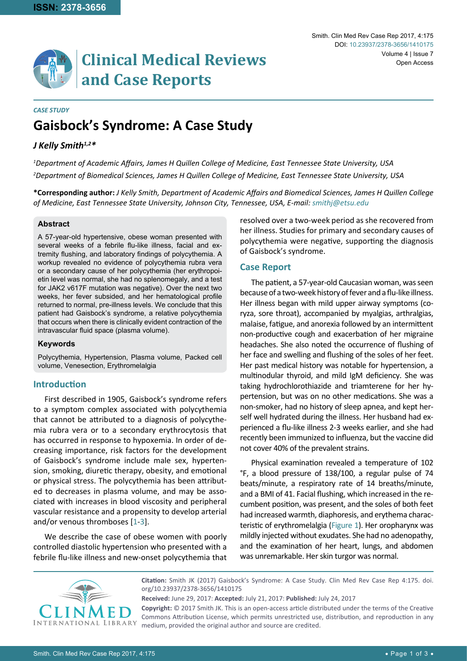# **Clinical Medical Reviews and Case Reports**

#### *CASE STUDY*

# **Gaisbock's Syndrome: A Case Study**

# *J Kelly Smith1,2\**

*1 Department of Academic Affairs, James H Quillen College of Medicine, East Tennessee State University, USA 2 Department of Biomedical Sciences, James H Quillen College of Medicine, East Tennessee State University, USA*

**\*Corresponding author:** *J Kelly Smith, Department of Academic Affairs and Biomedical Sciences, James H Quillen College of Medicine, East Tennessee State University, Johnson City, Tennessee, USA, E-mail: smithj@etsu.edu*

#### **Abstract**

A 57-year-old hypertensive, obese woman presented with several weeks of a febrile flu-like illness, facial and extremity flushing, and laboratory findings of polycythemia. A workup revealed no evidence of polycythemia rubra vera or a secondary cause of her polycythemia (her erythropoietin level was normal, she had no splenomegaly, and a test for JAK2 v617F mutation was negative). Over the next two weeks, her fever subsided, and her hematological profile returned to normal, pre-illness levels. We conclude that this patient had Gaisbock's syndrome, a relative polycythemia that occurs when there is clinically evident contraction of the intravascular fluid space (plasma volume).

#### **Keywords**

Polycythemia, Hypertension, Plasma volume, Packed cell volume, Venesection, Erythromelalgia

## **Introduction**

First described in 1905, Gaisbock's syndrome refers to a symptom complex associated with polycythemia that cannot be attributed to a diagnosis of polycythemia rubra vera or to a secondary erythrocytosis that has occurred in response to hypoxemia. In order of decreasing importance, risk factors for the development of Gaisbock's syndrome include male sex, hypertension, smoking, diuretic therapy, obesity, and emotional or physical stress. The polycythemia has been attributed to decreases in plasma volume, and may be associated with increases in blood viscosity and peripheral vascular resistance and a propensity to develop arterial and/or venous thromboses [[1](#page-2-0)-[3](#page-2-1)].

We describe the case of obese women with poorly controlled diastolic hypertension who presented with a febrile flu-like illness and new-onset polycythemia that resolved over a two-week period as she recovered from her illness. Studies for primary and secondary causes of polycythemia were negative, supporting the diagnosis of Gaisbock's syndrome.

#### **Case Report**

The patient, a 57-year-old Caucasian woman, was seen because of a two-week history of fever and a flu-like illness. Her illness began with mild upper airway symptoms (coryza, sore throat), accompanied by myalgias, arthralgias, malaise, fatigue, and anorexia followed by an intermittent non-productive cough and exacerbation of her migraine headaches. She also noted the occurrence of flushing of her face and swelling and flushing of the soles of her feet. Her past medical history was notable for hypertension, a multinodular thyroid, and mild IgM deficiency. She was taking hydrochlorothiazide and triamterene for her hypertension, but was on no other medications. She was a non-smoker, had no history of sleep apnea, and kept herself well hydrated during the illness. Her husband had experienced a flu-like illness 2-3 weeks earlier, and she had recently been immunized to influenza, but the vaccine did not cover 40% of the prevalent strains.

Physical examination revealed a temperature of 102 °F, a blood pressure of 138/100, a regular pulse of 74 beats/minute, a respiratory rate of 14 breaths/minute, and a BMI of 41. Facial flushing, which increased in the recumbent position, was present, and the soles of both feet had increased warmth, diaphoresis, and erythema characteristic of erythromelalgia ([Figure 1](#page-1-0)). Her oropharynx was mildly injected without exudates. She had no adenopathy, and the examination of her heart, lungs, and abdomen was unremarkable. Her skin turgor was normal.



**Citation:** Smith JK (2017) Gaisbock's Syndrome: A Case Study. Clin Med Rev Case Rep 4:175. [doi.](https://doi.org/10.23937/2378-3656/1410175) [org/10.23937/2378-3656/14101](https://doi.org/10.23937/2378-3656/1410175)75

**Received:** June 29, 2017: **Accepted:** July 21, 2017: **Published:** July 24, 2017

**Copyright:** © 2017 Smith JK. This is an open-access article distributed under the terms of the Creative Commons Attribution License, which permits unrestricted use, distribution, and reproduction in any medium, provided the original author and source are credited.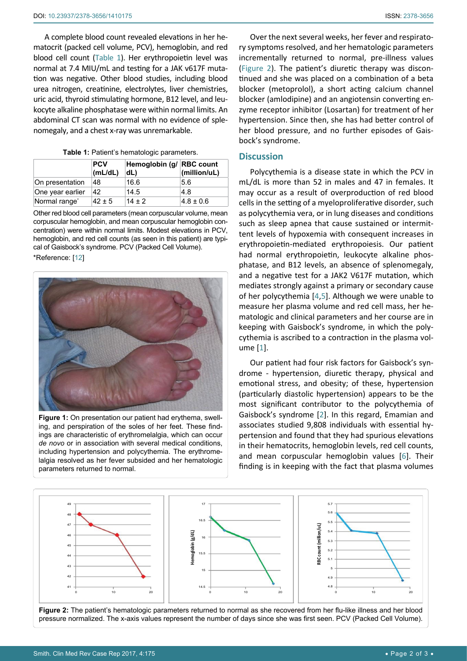A complete blood count revealed elevations in her hematocrit (packed cell volume, PCV), hemoglobin, and red blood cell count [\(Table 1](#page-1-2)). Her erythropoietin level was normal at 7.4 MIU/mL and testing for a JAK v617F mutation was negative. Other blood studies, including blood urea nitrogen, creatinine, electrolytes, liver chemistries, uric acid, thyroid stimulating hormone, B12 level, and leukocyte alkaline phosphatase were within normal limits. An abdominal CT scan was normal with no evidence of splenomegaly, and a chest x-ray was unremarkable.

<span id="page-1-2"></span>

|  |  | Table 1: Patient's hematologic parameters. |  |
|--|--|--------------------------------------------|--|
|--|--|--------------------------------------------|--|

|                           | <b>PCV</b><br>(mL/dL) | Hemoglobin (g/ RBC count<br>dL) | (million/uL)  |
|---------------------------|-----------------------|---------------------------------|---------------|
| On presentation           | 48                    | 16.6                            | 5.6           |
| One year earlier          | 42                    | 14.5                            | 4.8           |
| Normal range <sup>*</sup> | $42 \pm 5$            | $14 + 2$                        | $4.8 \pm 0.6$ |

Other red blood cell parameters (mean corpuscular volume, mean corpuscular hemoglobin, and mean corpuscular hemoglobin concentration) were within normal limits. Modest elevations in PCV, hemoglobin, and red cell counts (as seen in this patient) are typical of Gaisbock's syndrome. PCV (Packed Cell Volume). \*Reference: [[12](#page-2-6)]

<span id="page-1-0"></span>

**Figure 1:** On presentation our patient had erythema, swelling, and perspiration of the soles of her feet. These findings are characteristic of erythromelalgia, which can occur *de novo* or in association with several medical conditions, including hypertension and polycythemia. The erythromelalgia resolved as her fever subsided and her hematologic parameters returned to normal.

Over the next several weeks, her fever and respiratory symptoms resolved, and her hematologic parameters incrementally returned to normal, pre-illness values [\(Figure 2](#page-1-1)). The patient's diuretic therapy was discontinued and she was placed on a combination of a beta blocker (metoprolol), a short acting calcium channel blocker (amlodipine) and an angiotensin converting enzyme receptor inhibitor (Losartan) for treatment of her hypertension. Since then, she has had better control of her blood pressure, and no further episodes of Gaisbock's syndrome.

#### **Discussion**

Polycythemia is a disease state in which the PCV in mL/dL is more than 52 in males and 47 in females. It may occur as a result of overproduction of red blood cells in the setting of a myeloproliferative disorder, such as polycythemia vera, or in lung diseases and conditions such as sleep apnea that cause sustained or intermittent levels of hypoxemia with consequent increases in erythropoietin-mediated erythropoiesis. Our patient had normal erythropoietin, leukocyte alkaline phosphatase, and B12 levels, an absence of splenomegaly, and a negative test for a JAK2 V617F mutation, which mediates strongly against a primary or secondary cause of her polycythemia [[4,](#page-2-2)[5](#page-2-3)]. Although we were unable to measure her plasma volume and red cell mass, her hematologic and clinical parameters and her course are in keeping with Gaisbock's syndrome, in which the polycythemia is ascribed to a contraction in the plasma volume [[1](#page-2-0)].

Our patient had four risk factors for Gaisbock's syndrome - hypertension, diuretic therapy, physical and emotional stress, and obesity; of these, hypertension (particularly diastolic hypertension) appears to be the most significant contributor to the polycythemia of Gaisbock's syndrome [\[2](#page-2-4)]. In this regard, Emamian and associates studied 9,808 individuals with essential hypertension and found that they had spurious elevations in their hematocrits, hemoglobin levels, red cell counts, and mean corpuscular hemoglobin values [\[6\]](#page-2-5). Their finding is in keeping with the fact that plasma volumes

<span id="page-1-1"></span>

**Figure 2:** The patient's hematologic parameters returned to normal as she recovered from her flu-like illness and her blood pressure normalized. The x-axis values represent the number of days since she was first seen. PCV (Packed Cell Volume).